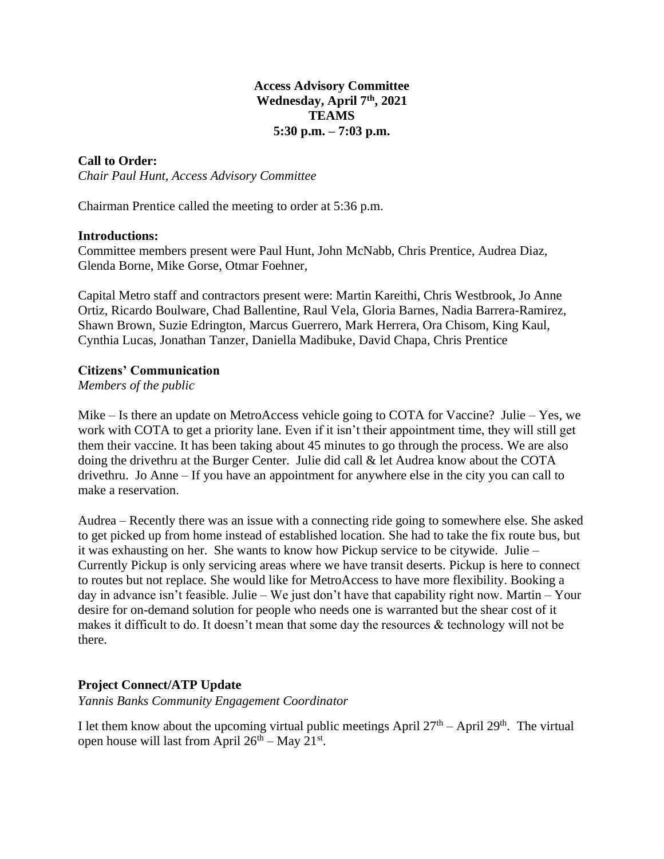### **Access Advisory Committee Wednesday, April 7th, 2021 TEAMS 5:30 p.m. – 7:03 p.m.**

## **Call to Order:**

*Chair Paul Hunt, Access Advisory Committee*

Chairman Prentice called the meeting to order at 5:36 p.m.

#### **Introductions:**

Committee members present were Paul Hunt, John McNabb, Chris Prentice, Audrea Diaz, Glenda Borne, Mike Gorse, Otmar Foehner,

Capital Metro staff and contractors present were: Martin Kareithi, Chris Westbrook, Jo Anne Ortiz, Ricardo Boulware, Chad Ballentine, Raul Vela, Gloria Barnes, Nadia Barrera-Ramirez, Shawn Brown, Suzie Edrington, Marcus Guerrero, Mark Herrera, Ora Chisom, King Kaul, Cynthia Lucas, Jonathan Tanzer, Daniella Madibuke, David Chapa, Chris Prentice

### **Citizens' Communication**

*Members of the public*

Mike – Is there an update on MetroAccess vehicle going to COTA for Vaccine? Julie – Yes, we work with COTA to get a priority lane. Even if it isn't their appointment time, they will still get them their vaccine. It has been taking about 45 minutes to go through the process. We are also doing the drivethru at the Burger Center. Julie did call & let Audrea know about the COTA drivethru. Jo Anne – If you have an appointment for anywhere else in the city you can call to make a reservation.

Audrea – Recently there was an issue with a connecting ride going to somewhere else. She asked to get picked up from home instead of established location. She had to take the fix route bus, but it was exhausting on her. She wants to know how Pickup service to be citywide. Julie – Currently Pickup is only servicing areas where we have transit deserts. Pickup is here to connect to routes but not replace. She would like for MetroAccess to have more flexibility. Booking a day in advance isn't feasible. Julie – We just don't have that capability right now. Martin – Your desire for on-demand solution for people who needs one is warranted but the shear cost of it makes it difficult to do. It doesn't mean that some day the resources & technology will not be there.

## **Project Connect/ATP Update**

*Yannis Banks Community Engagement Coordinator*

I let them know about the upcoming virtual public meetings April  $27<sup>th</sup>$  – April  $29<sup>th</sup>$ . The virtual open house will last from April  $26<sup>th</sup> - May 21<sup>st</sup>$ .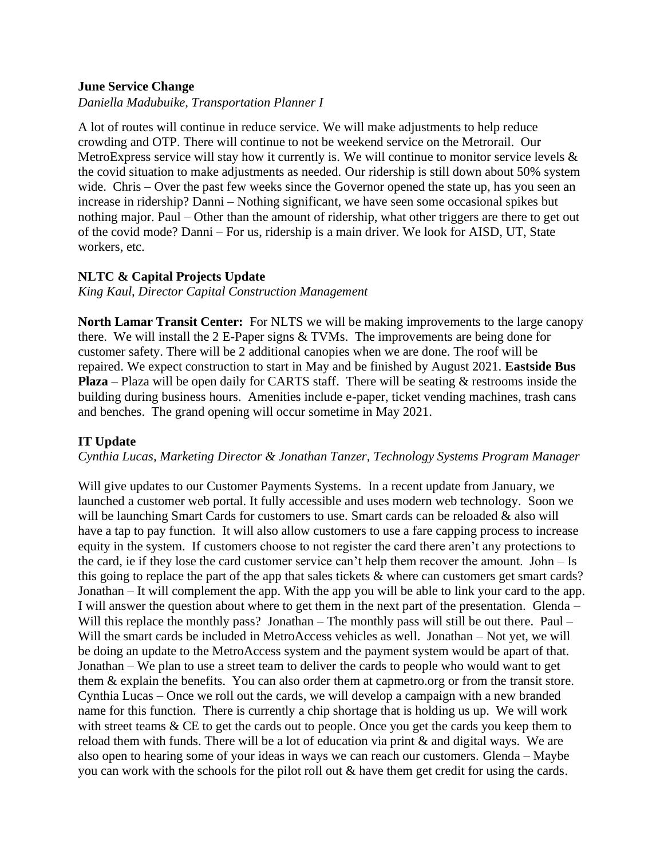#### **June Service Change**

*Daniella Madubuike, Transportation Planner I*

A lot of routes will continue in reduce service. We will make adjustments to help reduce crowding and OTP. There will continue to not be weekend service on the Metrorail. Our MetroExpress service will stay how it currently is. We will continue to monitor service levels & the covid situation to make adjustments as needed. Our ridership is still down about 50% system wide. Chris – Over the past few weeks since the Governor opened the state up, has you seen an increase in ridership? Danni – Nothing significant, we have seen some occasional spikes but nothing major. Paul – Other than the amount of ridership, what other triggers are there to get out of the covid mode? Danni – For us, ridership is a main driver. We look for AISD, UT, State workers, etc.

## **NLTC & Capital Projects Update**

*King Kaul, Director Capital Construction Management*

**North Lamar Transit Center:** For NLTS we will be making improvements to the large canopy there. We will install the 2 E-Paper signs & TVMs. The improvements are being done for customer safety. There will be 2 additional canopies when we are done. The roof will be repaired. We expect construction to start in May and be finished by August 2021. **Eastside Bus Plaza** – Plaza will be open daily for CARTS staff. There will be seating & restrooms inside the building during business hours. Amenities include e-paper, ticket vending machines, trash cans and benches. The grand opening will occur sometime in May 2021.

## **IT Update**

*Cynthia Lucas, Marketing Director & Jonathan Tanzer, Technology Systems Program Manager*

Will give updates to our Customer Payments Systems. In a recent update from January, we launched a customer web portal. It fully accessible and uses modern web technology. Soon we will be launching Smart Cards for customers to use. Smart cards can be reloaded & also will have a tap to pay function. It will also allow customers to use a fare capping process to increase equity in the system. If customers choose to not register the card there aren't any protections to the card, ie if they lose the card customer service can't help them recover the amount. John – Is this going to replace the part of the app that sales tickets & where can customers get smart cards? Jonathan – It will complement the app. With the app you will be able to link your card to the app. I will answer the question about where to get them in the next part of the presentation. Glenda – Will this replace the monthly pass? Jonathan – The monthly pass will still be out there. Paul – Will the smart cards be included in MetroAccess vehicles as well. Jonathan – Not yet, we will be doing an update to the MetroAccess system and the payment system would be apart of that. Jonathan – We plan to use a street team to deliver the cards to people who would want to get them & explain the benefits. You can also order them at capmetro.org or from the transit store. Cynthia Lucas – Once we roll out the cards, we will develop a campaign with a new branded name for this function. There is currently a chip shortage that is holding us up. We will work with street teams  $& CE$  to get the cards out to people. Once you get the cards you keep them to reload them with funds. There will be a lot of education via print & and digital ways. We are also open to hearing some of your ideas in ways we can reach our customers. Glenda – Maybe you can work with the schools for the pilot roll out & have them get credit for using the cards.